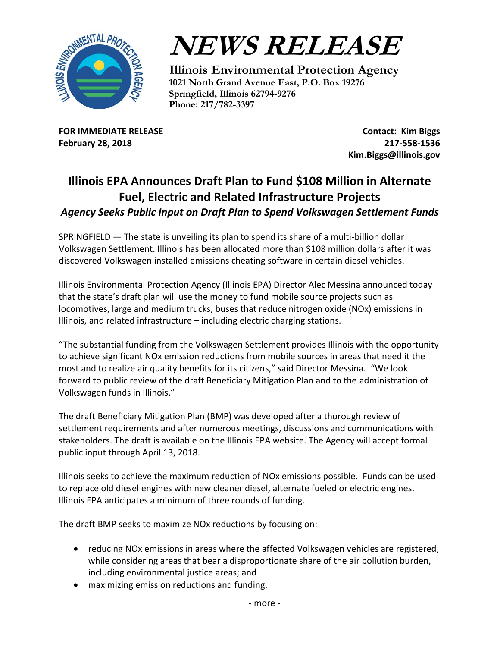



**Illinois Environmental Protection Agency 1021 North Grand Avenue East, P.O. Box 19276 Springfield, Illinois 62794-9276 Phone: 217/782-3397** 

**FOR IMMEDIATE RELEASE February 28, 2018**

**Contact: Kim Biggs 217-558-1536 Kim.Biggs@illinois.gov**

## **Illinois EPA Announces Draft Plan to Fund \$108 Million in Alternate Fuel, Electric and Related Infrastructure Projects** *Agency Seeks Public Input on Draft Plan to Spend Volkswagen Settlement Funds*

SPRINGFIELD — The state is unveiling its plan to spend its share of a multi-billion dollar Volkswagen Settlement. Illinois has been allocated more than \$108 million dollars after it was discovered Volkswagen installed emissions cheating software in certain diesel vehicles.

Illinois Environmental Protection Agency (Illinois EPA) Director Alec Messina announced today that the state's draft plan will use the money to fund mobile source projects such as locomotives, large and medium trucks, buses that reduce nitrogen oxide (NOx) emissions in Illinois, and related infrastructure – including electric charging stations.

"The substantial funding from the Volkswagen Settlement provides Illinois with the opportunity to achieve significant NOx emission reductions from mobile sources in areas that need it the most and to realize air quality benefits for its citizens," said Director Messina. "We look forward to public review of the draft Beneficiary Mitigation Plan and to the administration of Volkswagen funds in Illinois."

The draft Beneficiary Mitigation Plan (BMP) was developed after a thorough review of settlement requirements and after numerous meetings, discussions and communications with stakeholders. The draft is available on the Illinois EPA website. The Agency will accept formal public input through April 13, 2018.

Illinois seeks to achieve the maximum reduction of NOx emissions possible. Funds can be used to replace old diesel engines with new cleaner diesel, alternate fueled or electric engines. Illinois EPA anticipates a minimum of three rounds of funding.

The draft BMP seeks to maximize NOx reductions by focusing on:

- reducing NOx emissions in areas where the affected Volkswagen vehicles are registered, while considering areas that bear a disproportionate share of the air pollution burden, including environmental justice areas; and
- maximizing emission reductions and funding.